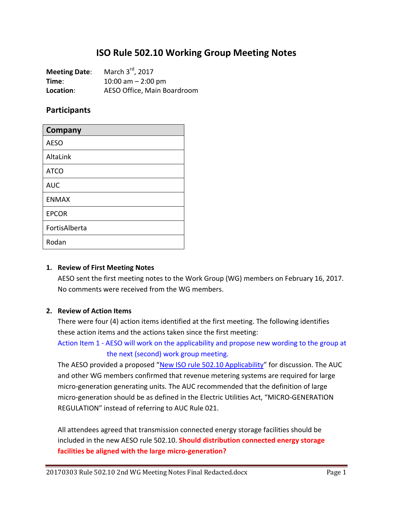# **ISO Rule 502.10 Working Group Meeting Notes**

| <b>Meeting Date:</b> | March 3rd, 2017             |
|----------------------|-----------------------------|
| Time:                | 10:00 am $-$ 2:00 pm        |
| Location:            | AESO Office, Main Boardroom |

#### **Participants**

| Company       |
|---------------|
| <b>AESO</b>   |
| AltaLink      |
| <b>ATCO</b>   |
| <b>AUC</b>    |
| <b>ENMAX</b>  |
| <b>EPCOR</b>  |
| FortisAlberta |
| Rodan         |

#### **1. Review of First Meeting Notes**

AESO sent the first meeting notes to the Work Group (WG) members on February 16, 2017. No comments were received from the WG members.

#### **2. Review of Action Items**

There were four (4) action items identified at the first meeting. The following identifies these action items and the actions taken since the first meeting:

Action Item 1 - AESO will work on the applicability and propose new wording to the group at the next (second) work group meeting.

The AESO provided a proposed "New ISO rule 502.10 Applicability" for discussion. The AUC and other WG members confirmed that revenue metering systems are required for large micro-generation generating units. The AUC recommended that the definition of large micro-generation should be as defined in the Electric Utilities Act, "MICRO-GENERATION REGULATION" instead of referring to AUC Rule 021.

All attendees agreed that transmission connected energy storage facilities should be included in the new AESO rule 502.10. **Should distribution connected energy storage facilities be aligned with the large micro-generation?**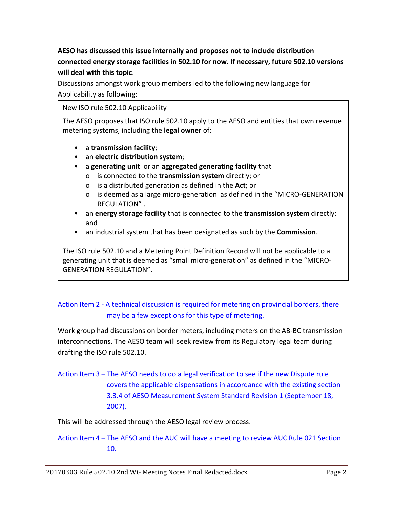# **AESO has discussed this issue internally and proposes not to include distribution connected energy storage facilities in 502.10 for now. If necessary, future 502.10 versions will deal with this topic**.

Discussions amongst work group members led to the following new language for Applicability as following:

#### New ISO rule 502.10 Applicability

The AESO proposes that ISO rule 502.10 apply to the AESO and entities that own revenue metering systems, including the **legal owner** of:

- a **transmission facility**;
- an **electric distribution system**;
- a **generating unit** or an **aggregated generating facility** that
	- o is connected to the **transmission system** directly; or
	- o is a distributed generation as defined in the **Act**; or
	- o is deemed as a large micro-generation as defined in the "MICRO-GENERATION REGULATION" .
- an **energy storage facility** that is connected to the **transmission system** directly; and
- an industrial system that has been designated as such by the **Commission**.

The ISO rule 502.10 and a Metering Point Definition Record will not be applicable to a generating unit that is deemed as "small micro-generation" as defined in the "MICRO-GENERATION REGULATION".

## Action Item 2 - A technical discussion is required for metering on provincial borders, there may be a few exceptions for this type of metering.

Work group had discussions on border meters, including meters on the AB-BC transmission interconnections. The AESO team will seek review from its Regulatory legal team during drafting the ISO rule 502.10.

# Action Item 3 – The AESO needs to do a legal verification to see if the new Dispute rule covers the applicable dispensations in accordance with the existing section 3.3.4 of AESO Measurement System Standard Revision 1 (September 18, 2007).

This will be addressed through the AESO legal review process.

Action Item 4 – The AESO and the AUC will have a meeting to review AUC Rule 021 Section 10.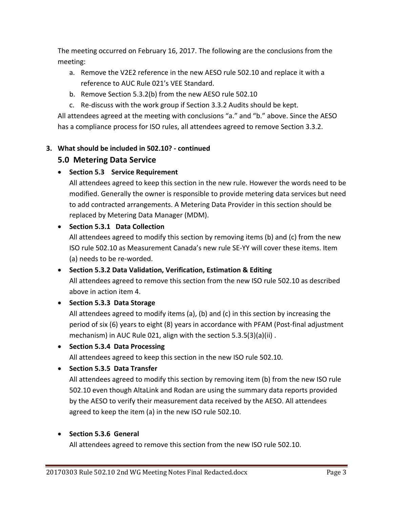The meeting occurred on February 16, 2017. The following are the conclusions from the meeting:

- a. Remove the V2E2 reference in the new AESO rule 502.10 and replace it with a reference to AUC Rule 021's VEE Standard.
- b. Remove Section 5.3.2(b) from the new AESO rule 502.10
- c. Re-discuss with the work group if Section 3.3.2 Audits should be kept.

All attendees agreed at the meeting with conclusions "a." and "b." above. Since the AESO has a compliance process for ISO rules, all attendees agreed to remove Section 3.3.2.

### **3. What should be included in 502.10? - continued**

## **5.0 Metering Data Service**

• **Section 5.3 Service Requirement**

All attendees agreed to keep this section in the new rule. However the words need to be modified. Generally the owner is responsible to provide metering data services but need to add contracted arrangements. A Metering Data Provider in this section should be replaced by Metering Data Manager (MDM).

### • **Section 5.3.1 Data Collection**

All attendees agreed to modify this section by removing items (b) and (c) from the new ISO rule 502.10 as Measurement Canada's new rule SE-YY will cover these items. Item (a) needs to be re-worded.

## • **Section 5.3.2 Data Validation, Verification, Estimation & Editing**

All attendees agreed to remove this section from the new ISO rule 502.10 as described above in action item 4.

### • **Section 5.3.3 Data Storage**

All attendees agreed to modify items (a), (b) and (c) in this section by increasing the period of six (6) years to eight (8) years in accordance with PFAM (Post-final adjustment mechanism) in AUC Rule 021, align with the section 5.3.5(3)(a)(ii) .

### • **Section 5.3.4 Data Processing**

All attendees agreed to keep this section in the new ISO rule 502.10.

### • **Section 5.3.5 Data Transfer**

All attendees agreed to modify this section by removing item (b) from the new ISO rule 502.10 even though AltaLink and Rodan are using the summary data reports provided by the AESO to verify their measurement data received by the AESO. All attendees agreed to keep the item (a) in the new ISO rule 502.10.

### • **Section 5.3.6 General**

All attendees agreed to remove this section from the new ISO rule 502.10.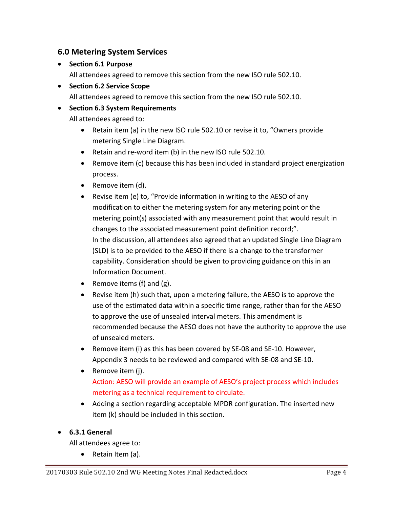## **6.0 Metering System Services**

• **Section 6.1 Purpose**

All attendees agreed to remove this section from the new ISO rule 502.10.

• **Section 6.2 Service Scope** All attendees agreed to remove this section from the new ISO rule 502.10.

# • **Section 6.3 System Requirements**

All attendees agreed to:

- Retain item (a) in the new ISO rule 502.10 or revise it to, "Owners provide metering Single Line Diagram.
- Retain and re-word item (b) in the new ISO rule 502.10.
- Remove item (c) because this has been included in standard project energization process.
- Remove item (d).
- Revise item (e) to, "Provide information in writing to the AESO of any modification to either the metering system for any metering point or the metering point(s) associated with any measurement point that would result in changes to the associated measurement point definition record;". In the discussion, all attendees also agreed that an updated Single Line Diagram (SLD) is to be provided to the AESO if there is a change to the transformer capability. Consideration should be given to providing guidance on this in an Information Document.
- Remove items (f) and (g).
- Revise item (h) such that, upon a metering failure, the AESO is to approve the use of the estimated data within a specific time range, rather than for the AESO to approve the use of unsealed interval meters. This amendment is recommended because the AESO does not have the authority to approve the use of unsealed meters.
- Remove item (i) as this has been covered by SE-08 and SE-10. However, Appendix 3 needs to be reviewed and compared with SE-08 and SE-10.
- Remove item (j). Action: AESO will provide an example of AESO's project process which includes metering as a technical requirement to circulate.
- Adding a section regarding acceptable MPDR configuration. The inserted new item (k) should be included in this section.

#### • **6.3.1 General**

All attendees agree to:

• Retain Item (a).